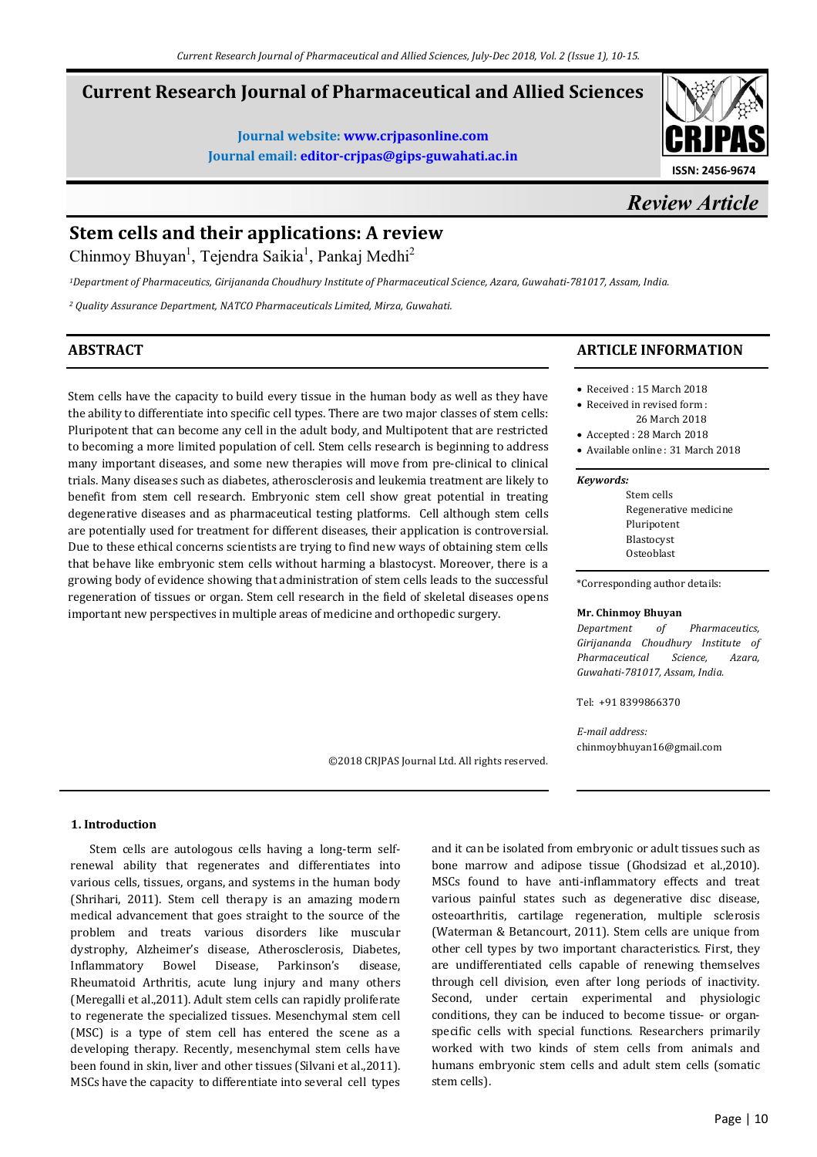# **Current Research Journal of Pharmaceutical and Allied Sciences**

**Journal website: www.crjpasonline.com Journal email: editor-crjpas@gips-guwahati.ac.in** 



*Review Article*

# **Stem cells and their applications: A review**

Chinmoy Bhuyan<sup>1</sup>, Tejendra Saikia<sup>1</sup>, Pankaj Medhi<sup>2</sup>

*<sup>1</sup>Department of Pharmaceutics, Girijananda Choudhury Institute of Pharmaceutical Science, Azara, Guwahati-781017, Assam, India.* 

*<sup>2</sup> Quality Assurance Department, NATCO Pharmaceuticals Limited, Mirza, Guwahati.* 

# **ABSTRACT**

Stem cells have the capacity to build every tissue in the human body as well as they have the ability to differentiate into specific cell types. There are two major classes of stem cells: Pluripotent that can become any cell in the adult body, and Multipotent that are restricted to becoming a more limited population of cell. Stem cells research is beginning to address many important diseases, and some new therapies will move from pre-clinical to clinical trials. Many diseases such as diabetes, atherosclerosis and leukemia treatment are likely to benefit from stem cell research. Embryonic stem cell show great potential in treating degenerative diseases and as pharmaceutical testing platforms. Cell although stem cells are potentially used for treatment for different diseases, their application is controversial. Due to these ethical concerns scientists are trying to find new ways of obtaining stem cells that behave like embryonic stem cells without harming a blastocyst. Moreover, there is a growing body of evidence showing that administration of stem cells leads to the successful regeneration of tissues or organ. Stem cell research in the field of skeletal diseases opens important new perspectives in multiple areas of medicine and orthopedic surgery.

#### ©2018 CRJPAS Journal Ltd. All rights reserved.

# **ARTICLE INFORMATION**

- Received : 15 March 2018
- Received in revised form :
- 26 March 2018 • Accepted : 28 March 2018
- Available online : 31 March 2018

#### *Keywords:*

Stem cells Regenerative medicine Pluripotent Blastocyst Osteoblast

\*Corresponding author details:

#### **Mr. Chinmoy Bhuyan**

*Department of Pharmaceutics, Girijananda Choudhury Institute of Pharmaceutical Science, Azara, Guwahati-781017, Assam, India.* 

Tel: +91 8399866370

*E-mail address:* chinmoybhuyan16@gmail.com

### **1. Introduction**

 Stem cells are autologous cells having a long-term selfrenewal ability that regenerates and differentiates into various cells, tissues, organs, and systems in the human body (Shrihari, 2011). Stem cell therapy is an amazing modern medical advancement that goes straight to the source of the problem and treats various disorders like muscular dystrophy, Alzheimer's disease, Atherosclerosis, Diabetes, Inflammatory Bowel Disease, Parkinson's disease, Rheumatoid Arthritis, acute lung injury and many others (Meregalli et al.,2011). Adult stem cells can rapidly proliferate to regenerate the specialized tissues. Mesenchymal stem cell (MSC) is a type of stem cell has entered the scene as a developing therapy. Recently, mesenchymal stem cells have been found in skin, liver and other tissues (Silvani et al.,2011). MSCs have the capacity to differentiate into several cell types

and it can be isolated from embryonic or adult tissues such as bone marrow and adipose tissue (Ghodsizad et al.,2010). MSCs found to have anti-inflammatory effects and treat various painful states such as degenerative disc disease, osteoarthritis, cartilage regeneration, multiple sclerosis (Waterman & Betancourt, 2011). Stem cells are unique from other cell types by two important characteristics. First, they are undifferentiated cells capable of renewing themselves through cell division, even after long periods of inactivity. Second, under certain experimental and physiologic conditions, they can be induced to become tissue- or organspecific cells with special functions. Researchers primarily worked with two kinds of stem cells from animals and humans embryonic stem cells and adult stem cells (somatic stem cells).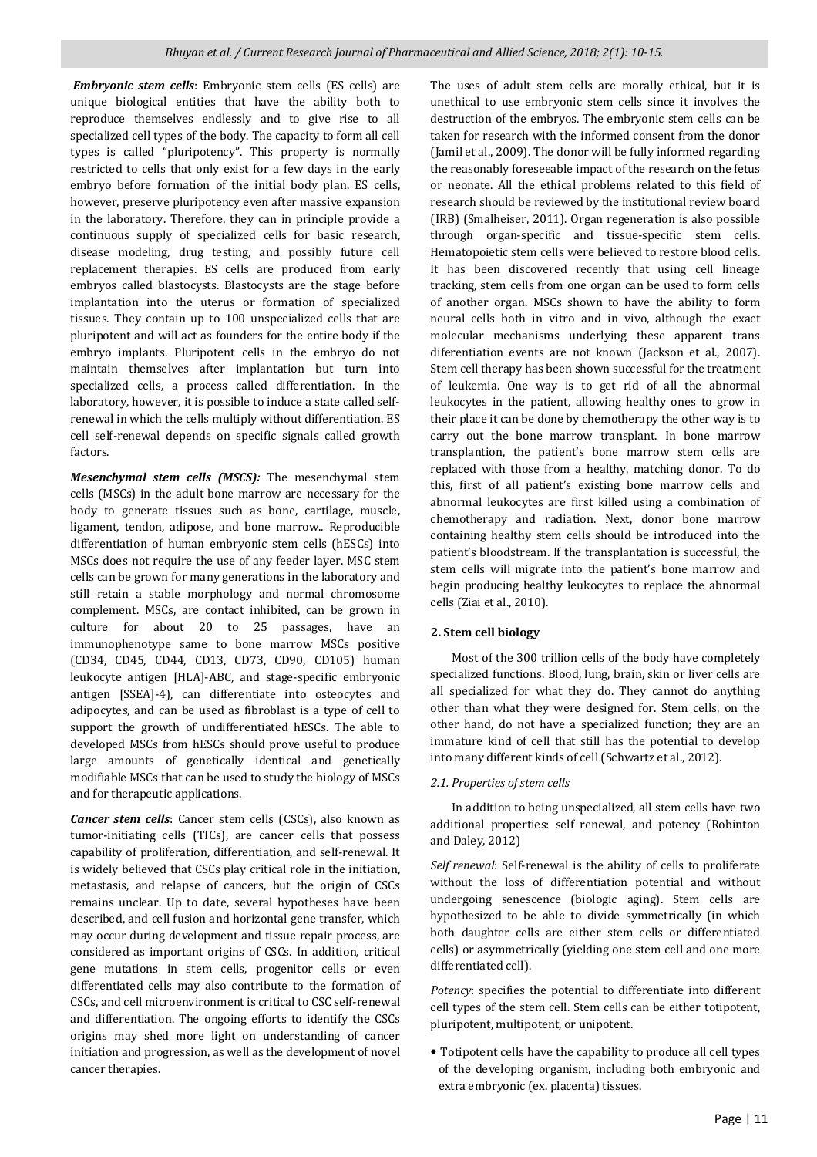*Embryonic stem cells*: Embryonic stem cells (ES cells) are unique biological entities that have the ability both to reproduce themselves endlessly and to give rise to all specialized cell types of the body. The capacity to form all cell types is called "pluripotency". This property is normally restricted to cells that only exist for a few days in the early embryo before formation of the initial body plan. ES cells, however, preserve pluripotency even after massive expansion in the laboratory. Therefore, they can in principle provide a continuous supply of specialized cells for basic research, disease modeling, drug testing, and possibly future cell replacement therapies. ES cells are produced from early embryos called blastocysts. Blastocysts are the stage before implantation into the uterus or formation of specialized tissues. They contain up to 100 unspecialized cells that are pluripotent and will act as founders for the entire body if the embryo implants. Pluripotent cells in the embryo do not maintain themselves after implantation but turn into specialized cells, a process called differentiation. In the laboratory, however, it is possible to induce a state called selfrenewal in which the cells multiply without differentiation. ES cell self-renewal depends on specific signals called growth factors.

*Mesenchymal stem cells (MSCS):* The mesenchymal stem cells (MSCs) in the adult bone marrow are necessary for the body to generate tissues such as bone, cartilage, muscle, ligament, tendon, adipose, and bone marrow.. Reproducible differentiation of human embryonic stem cells (hESCs) into MSCs does not require the use of any feeder layer. MSC stem cells can be grown for many generations in the laboratory and still retain a stable morphology and normal chromosome complement. MSCs, are contact inhibited, can be grown in culture for about 20 to 25 passages, have an immunophenotype same to bone marrow MSCs positive (CD34, CD45, CD44, CD13, CD73, CD90, CD105) human leukocyte antigen [HLA]-ABC, and stage-specific embryonic antigen [SSEA]-4), can differentiate into osteocytes and adipocytes, and can be used as fibroblast is a type of cell to support the growth of undifferentiated hESCs. The able to developed MSCs from hESCs should prove useful to produce large amounts of genetically identical and genetically modifiable MSCs that can be used to study the biology of MSCs and for therapeutic applications.

*Cancer stem cells*: Cancer stem cells (CSCs), also known as tumor-initiating cells (TICs), are cancer cells that possess capability of proliferation, differentiation, and self-renewal. It is widely believed that CSCs play critical role in the initiation, metastasis, and relapse of cancers, but the origin of CSCs remains unclear. Up to date, several hypotheses have been described, and cell fusion and horizontal gene transfer, which may occur during development and tissue repair process, are considered as important origins of CSCs. In addition, critical gene mutations in stem cells, progenitor cells or even differentiated cells may also contribute to the formation of CSCs, and cell microenvironment is critical to CSC self-renewal and differentiation. The ongoing efforts to identify the CSCs origins may shed more light on understanding of cancer initiation and progression, as well as the development of novel cancer therapies.

The uses of adult stem cells are morally ethical, but it is unethical to use embryonic stem cells since it involves the destruction of the embryos. The embryonic stem cells can be taken for research with the informed consent from the donor (Jamil et al., 2009). The donor will be fully informed regarding the reasonably foreseeable impact of the research on the fetus or neonate. All the ethical problems related to this field of research should be reviewed by the institutional review board (IRB) (Smalheiser, 2011). Organ regeneration is also possible through organ-specific and tissue-specific stem cells. Hematopoietic stem cells were believed to restore blood cells. It has been discovered recently that using cell lineage tracking, stem cells from one organ can be used to form cells of another organ. MSCs shown to have the ability to form neural cells both in vitro and in vivo, although the exact molecular mechanisms underlying these apparent trans diferentiation events are not known (Jackson et al., 2007). Stem cell therapy has been shown successful for the treatment of leukemia. One way is to get rid of all the abnormal leukocytes in the patient, allowing healthy ones to grow in their place it can be done by chemotherapy the other way is to carry out the bone marrow transplant. In bone marrow transplantion, the patient's bone marrow stem cells are replaced with those from a healthy, matching donor. To do this, first of all patient's existing bone marrow cells and abnormal leukocytes are first killed using a combination of chemotherapy and radiation. Next, donor bone marrow containing healthy stem cells should be introduced into the patient's bloodstream. If the transplantation is successful, the stem cells will migrate into the patient's bone marrow and begin producing healthy leukocytes to replace the abnormal cells (Ziai et al., 2010).

# **2. Stem cell biology**

 Most of the 300 trillion cells of the body have completely specialized functions. Blood, lung, brain, skin or liver cells are all specialized for what they do. They cannot do anything other than what they were designed for. Stem cells, on the other hand, do not have a specialized function; they are an immature kind of cell that still has the potential to develop into many different kinds of cell (Schwartz et al., 2012).

# *2.1. Properties of stem cells*

 In addition to being unspecialized, all stem cells have two additional properties: self renewal, and potency (Robinton and Daley, 2012)

*Self renewal*: Self-renewal is the ability of cells to proliferate without the loss of differentiation potential and without undergoing senescence (biologic aging). Stem cells are hypothesized to be able to divide symmetrically (in which both daughter cells are either stem cells or differentiated cells) or asymmetrically (yielding one stem cell and one more differentiated cell).

*Potency*: specifies the potential to differentiate into different cell types of the stem cell. Stem cells can be either totipotent, pluripotent, multipotent, or unipotent.

• Totipotent cells have the capability to produce all cell types of the developing organism, including both embryonic and extra embryonic (ex. placenta) tissues.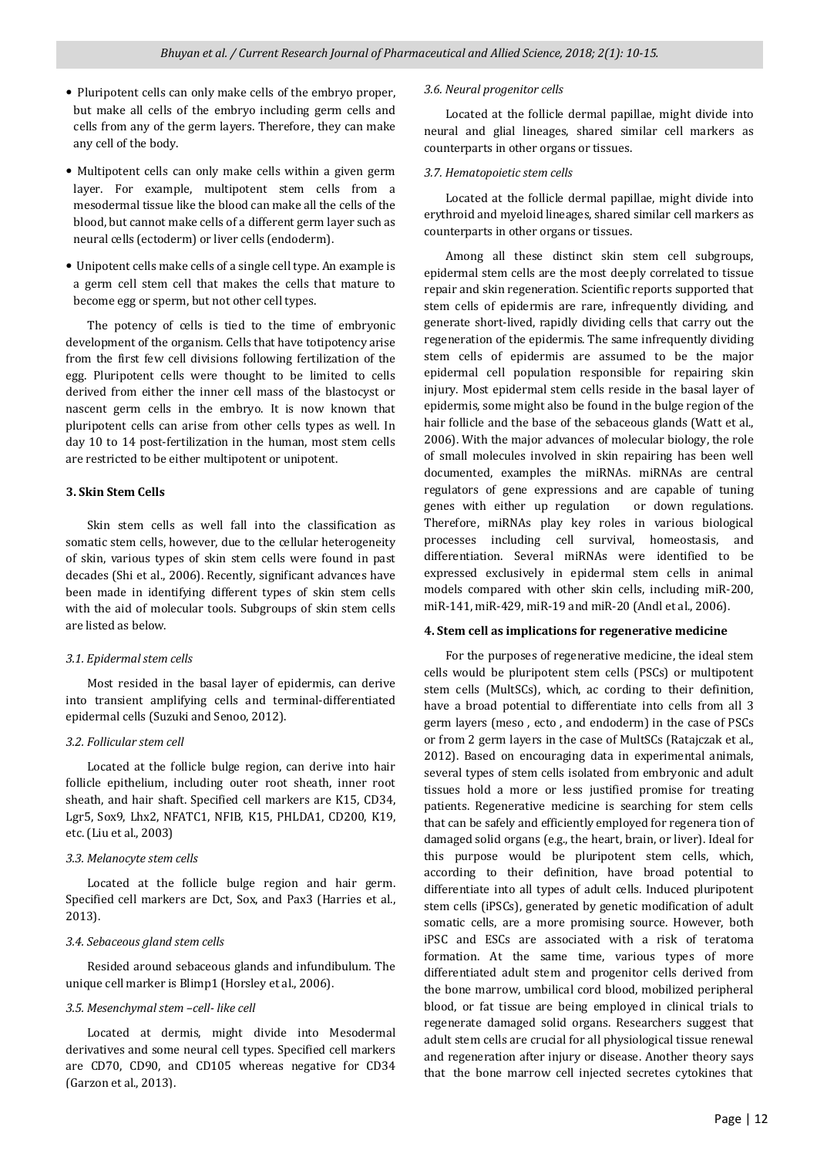- Pluripotent cells can only make cells of the embryo proper, but make all cells of the embryo including germ cells and cells from any of the germ layers. Therefore, they can make any cell of the body.
- Multipotent cells can only make cells within a given germ layer. For example, multipotent stem cells from a mesodermal tissue like the blood can make all the cells of the blood, but cannot make cells of a different germ layer such as neural cells (ectoderm) or liver cells (endoderm).
- Unipotent cells make cells of a single cell type. An example is a germ cell stem cell that makes the cells that mature to become egg or sperm, but not other cell types.

 The potency of cells is tied to the time of embryonic development of the organism. Cells that have totipotency arise from the first few cell divisions following fertilization of the egg. Pluripotent cells were thought to be limited to cells derived from either the inner cell mass of the blastocyst or nascent germ cells in the embryo. It is now known that pluripotent cells can arise from other cells types as well. In day 10 to 14 post-fertilization in the human, most stem cells are restricted to be either multipotent or unipotent.

### **3. Skin Stem Cells**

 Skin stem cells as well fall into the classification as somatic stem cells, however, due to the cellular heterogeneity of skin, various types of skin stem cells were found in past decades (Shi et al., 2006). Recently, significant advances have been made in identifying different types of skin stem cells with the aid of molecular tools. Subgroups of skin stem cells are listed as below.

#### *3.1. Epidermal stem cells*

 Most resided in the basal layer of epidermis, can derive into transient amplifying cells and terminal-differentiated epidermal cells (Suzuki and Senoo, 2012).

#### *3.2. Follicular stem cell*

 Located at the follicle bulge region, can derive into hair follicle epithelium, including outer root sheath, inner root sheath, and hair shaft. Specified cell markers are K15, CD34, Lgr5, Sox9, Lhx2, NFATC1, NFIB, K15, PHLDA1, CD200, K19, etc. (Liu et al., 2003)

#### *3.3. Melanocyte stem cells*

 Located at the follicle bulge region and hair germ. Specified cell markers are Dct, Sox, and Pax3 (Harries et al., 2013).

### *3.4. Sebaceous gland stem cells*

 Resided around sebaceous glands and infundibulum. The unique cell marker is Blimp1 (Horsley et al., 2006).

#### *3.5. Mesenchymal stem –cell- like cell*

 Located at dermis, might divide into Mesodermal derivatives and some neural cell types. Specified cell markers are CD70, CD90, and CD105 whereas negative for CD34 (Garzon et al., 2013).

#### *3.6. Neural progenitor cells*

 Located at the follicle dermal papillae, might divide into neural and glial lineages, shared similar cell markers as counterparts in other organs or tissues.

#### *3.7. Hematopoietic stem cells*

 Located at the follicle dermal papillae, might divide into erythroid and myeloid lineages, shared similar cell markers as counterparts in other organs or tissues.

 Among all these distinct skin stem cell subgroups, epidermal stem cells are the most deeply correlated to tissue repair and skin regeneration. Scientific reports supported that stem cells of epidermis are rare, infrequently dividing, and generate short-lived, rapidly dividing cells that carry out the regeneration of the epidermis. The same infrequently dividing stem cells of epidermis are assumed to be the major epidermal cell population responsible for repairing skin injury. Most epidermal stem cells reside in the basal layer of epidermis, some might also be found in the bulge region of the hair follicle and the base of the sebaceous glands (Watt et al., 2006). With the major advances of molecular biology, the role of small molecules involved in skin repairing has been well documented, examples the miRNAs. miRNAs are central regulators of gene expressions and are capable of tuning genes with either up regulation or down regulations. Therefore, miRNAs play key roles in various biological processes including cell survival, homeostasis, and differentiation. Several miRNAs were identified to be expressed exclusively in epidermal stem cells in animal models compared with other skin cells, including miR-200, miR-141, miR-429, miR-19 and miR-20 (Andl et al., 2006).

#### **4. Stem cell as implications for regenerative medicine**

 For the purposes of regenerative medicine, the ideal stem cells would be pluripotent stem cells (PSCs) or multipotent stem cells (MultSCs), which, ac cording to their definition, have a broad potential to differentiate into cells from all 3 germ layers (meso , ecto , and endoderm) in the case of PSCs or from 2 germ layers in the case of MultSCs (Ratajczak et al., 2012). Based on encouraging data in experimental animals, several types of stem cells isolated from embryonic and adult tissues hold a more or less justified promise for treating patients. Regenerative medicine is searching for stem cells that can be safely and efficiently employed for regenera tion of damaged solid organs (e.g., the heart, brain, or liver). Ideal for this purpose would be pluripotent stem cells, which, according to their definition, have broad potential to differentiate into all types of adult cells. Induced pluripotent stem cells (iPSCs), generated by genetic modification of adult somatic cells, are a more promising source. However, both iPSC and ESCs are associated with a risk of teratoma formation. At the same time, various types of more differentiated adult stem and progenitor cells derived from the bone marrow, umbilical cord blood, mobilized peripheral blood, or fat tissue are being employed in clinical trials to regenerate damaged solid organs. Researchers suggest that adult stem cells are crucial for all physiological tissue renewal and regeneration after injury or disease. Another theory says that the bone marrow cell injected secretes cytokines that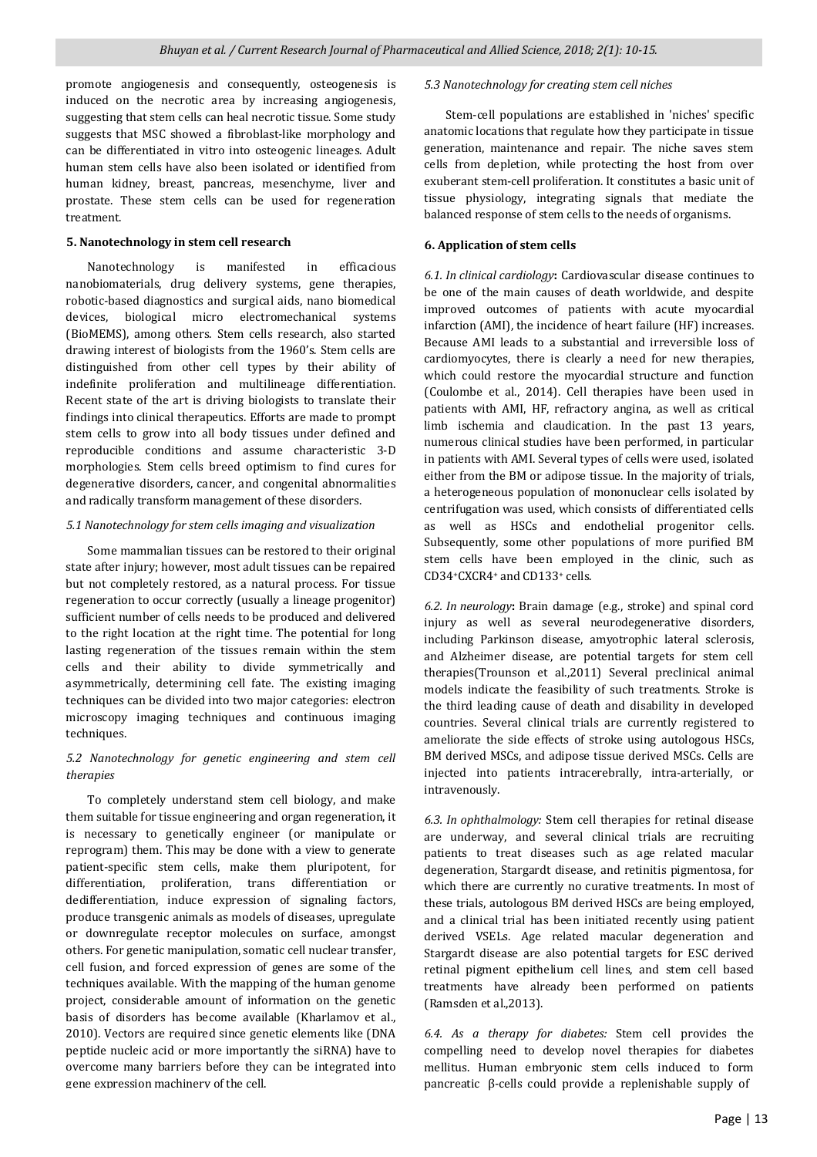promote angiogenesis and consequently, osteogenesis is induced on the necrotic area by increasing angiogenesis, suggesting that stem cells can heal necrotic tissue. Some study suggests that MSC showed a fibroblast-like morphology and can be differentiated in vitro into osteogenic lineages. Adult human stem cells have also been isolated or identified from human kidney, breast, pancreas, mesenchyme, liver and prostate. These stem cells can be used for regeneration treatment.

#### **5. Nanotechnology in stem cell research**

 Nanotechnology is manifested in efficacious nanobiomaterials, drug delivery systems, gene therapies, robotic-based diagnostics and surgical aids, nano biomedical devices, biological micro electromechanical systems (BioMEMS), among others. Stem cells research, also started drawing interest of biologists from the 1960's. Stem cells are distinguished from other cell types by their ability of indefinite proliferation and multilineage differentiation. Recent state of the art is driving biologists to translate their findings into clinical therapeutics. Efforts are made to prompt stem cells to grow into all body tissues under defined and reproducible conditions and assume characteristic 3-D morphologies. Stem cells breed optimism to find cures for degenerative disorders, cancer, and congenital abnormalities and radically transform management of these disorders.

#### *5.1 Nanotechnology for stem cells imaging and visualization*

 Some mammalian tissues can be restored to their original state after injury; however, most adult tissues can be repaired but not completely restored, as a natural process. For tissue regeneration to occur correctly (usually a lineage progenitor) sufficient number of cells needs to be produced and delivered to the right location at the right time. The potential for long lasting regeneration of the tissues remain within the stem cells and their ability to divide symmetrically and asymmetrically, determining cell fate. The existing imaging techniques can be divided into two major categories: electron microscopy imaging techniques and continuous imaging techniques.

# *5.2 Nanotechnology for genetic engineering and stem cell therapies*

 To completely understand stem cell biology, and make them suitable for tissue engineering and organ regeneration, it is necessary to genetically engineer (or manipulate or reprogram) them. This may be done with a view to generate patient-specific stem cells, make them pluripotent, for differentiation, proliferation, trans differentiation or dedifferentiation, induce expression of signaling factors, produce transgenic animals as models of diseases, upregulate or downregulate receptor molecules on surface, amongst others. For genetic manipulation, somatic cell nuclear transfer, cell fusion, and forced expression of genes are some of the techniques available. With the mapping of the human genome project, considerable amount of information on the genetic basis of disorders has become available (Kharlamov et al., 2010). Vectors are required since genetic elements like (DNA peptide nucleic acid or more importantly the siRNA) have to overcome many barriers before they can be integrated into gene expression machinery of the cell.

#### *5.3 Nanotechnology for creating stem cell niches*

 Stem-cell populations are established in 'niches' specific anatomic locations that regulate how they participate in tissue generation, maintenance and repair. The niche saves stem cells from depletion, while protecting the host from over exuberant stem-cell proliferation. It constitutes a basic unit of tissue physiology, integrating signals that mediate the balanced response of stem cells to the needs of organisms.

#### **6. Application of stem cells**

*6.1. In clinical cardiology***:** Cardiovascular disease continues to be one of the main causes of death worldwide, and despite improved outcomes of patients with acute myocardial infarction (AMI), the incidence of heart failure (HF) increases. Because AMI leads to a substantial and irreversible loss of cardiomyocytes, there is clearly a need for new therapies, which could restore the myocardial structure and function (Coulombe et al., 2014). Cell therapies have been used in patients with AMI, HF, refractory angina, as well as critical limb ischemia and claudication. In the past 13 years, numerous clinical studies have been performed, in particular in patients with AMI. Several types of cells were used, isolated either from the BM or adipose tissue. In the majority of trials, a heterogeneous population of mononuclear cells isolated by centrifugation was used, which consists of differentiated cells as well as HSCs and endothelial progenitor cells. Subsequently, some other populations of more purified BM stem cells have been employed in the clinic, such as CD34+CXCR4+ and CD133+ cells.

*6.2. In neurology***:** Brain damage (e.g., stroke) and spinal cord injury as well as several neurodegenerative disorders, including Parkinson disease, amyotrophic lateral sclerosis, and Alzheimer disease, are potential targets for stem cell therapies(Trounson et al.,2011) Several preclinical animal models indicate the feasibility of such treatments. Stroke is the third leading cause of death and disability in developed countries. Several clinical trials are currently registered to ameliorate the side effects of stroke using autologous HSCs, BM derived MSCs, and adipose tissue derived MSCs. Cells are injected into patients intracerebrally, intra-arterially, or intravenously.

*6.3. In ophthalmology:* Stem cell therapies for retinal disease are underway, and several clinical trials are recruiting patients to treat diseases such as age related macular degeneration, Stargardt disease, and retinitis pigmentosa, for which there are currently no curative treatments. In most of these trials, autologous BM derived HSCs are being employed, and a clinical trial has been initiated recently using patient derived VSELs. Age related macular degeneration and Stargardt disease are also potential targets for ESC derived retinal pigment epithelium cell lines, and stem cell based treatments have already been performed on patients (Ramsden et al.,2013).

*6.4. As a therapy for diabetes:* Stem cell provides the compelling need to develop novel therapies for diabetes mellitus. Human embryonic stem cells induced to form pancreatic β-cells could provide a replenishable supply of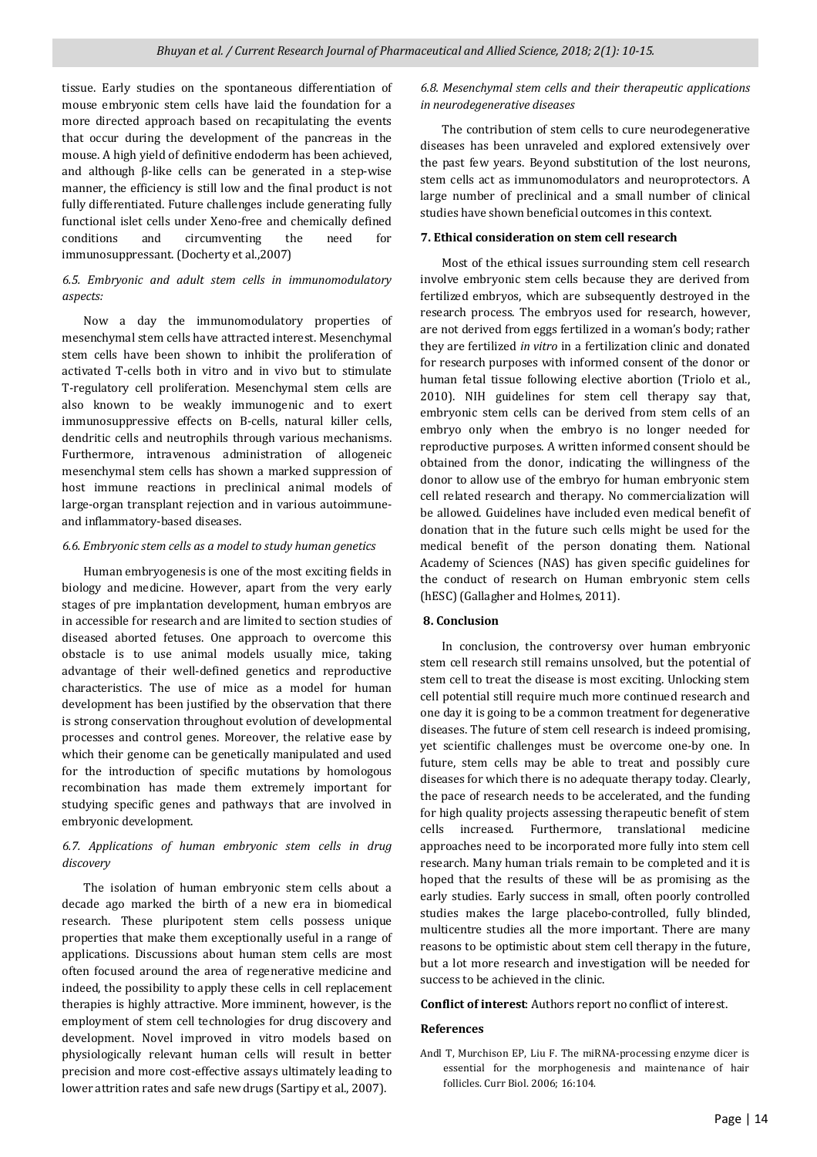tissue. Early studies on the spontaneous differentiation of mouse embryonic stem cells have laid the foundation for a more directed approach based on recapitulating the events that occur during the development of the pancreas in the mouse. A high yield of definitive endoderm has been achieved, and although β-like cells can be generated in a step-wise manner, the efficiency is still low and the final product is not fully differentiated. Future challenges include generating fully functional islet cells under Xeno-free and chemically defined conditions and circumventing the need for immunosuppressant. (Docherty et al.,2007)

# *6.5. Embryonic and adult stem cells in immunomodulatory aspects:*

 Now a day the immunomodulatory properties of mesenchymal stem cells have attracted interest. Mesenchymal stem cells have been shown to inhibit the proliferation of activated T-cells both in vitro and in vivo but to stimulate T-regulatory cell proliferation. Mesenchymal stem cells are also known to be weakly immunogenic and to exert immunosuppressive effects on B-cells, natural killer cells, dendritic cells and neutrophils through various mechanisms. Furthermore, intravenous administration of allogeneic mesenchymal stem cells has shown a marked suppression of host immune reactions in preclinical animal models of large-organ transplant rejection and in various autoimmuneand inflammatory-based diseases.

#### *6.6. Embryonic stem cells as a model to study human genetics*

 Human embryogenesis is one of the most exciting fields in biology and medicine. However, apart from the very early stages of pre implantation development, human embryos are in accessible for research and are limited to section studies of diseased aborted fetuses. One approach to overcome this obstacle is to use animal models usually mice, taking advantage of their well-defined genetics and reproductive characteristics. The use of mice as a model for human development has been justified by the observation that there is strong conservation throughout evolution of developmental processes and control genes. Moreover, the relative ease by which their genome can be genetically manipulated and used for the introduction of specific mutations by homologous recombination has made them extremely important for studying specific genes and pathways that are involved in embryonic development.

## *6.7. Applications of human embryonic stem cells in drug discovery*

 The isolation of human embryonic stem cells about a decade ago marked the birth of a new era in biomedical research. These pluripotent stem cells possess unique properties that make them exceptionally useful in a range of applications. Discussions about human stem cells are most often focused around the area of regenerative medicine and indeed, the possibility to apply these cells in cell replacement therapies is highly attractive. More imminent, however, is the employment of stem cell technologies for drug discovery and development. Novel improved in vitro models based on physiologically relevant human cells will result in better precision and more cost-effective assays ultimately leading to lower attrition rates and safe new drugs (Sartipy et al., 2007).

## *6.8. Mesenchymal stem cells and their therapeutic applications in neurodegenerative diseases*

 The contribution of stem cells to cure neurodegenerative diseases has been unraveled and explored extensively over the past few years. Beyond substitution of the lost neurons, stem cells act as immunomodulators and neuroprotectors. A large number of preclinical and a small number of clinical studies have shown beneficial outcomes in this context.

#### **7. Ethical consideration on stem cell research**

 Most of the ethical issues surrounding stem cell research involve embryonic stem cells because they are derived from fertilized embryos, which are subsequently destroyed in the research process. The embryos used for research, however, are not derived from eggs fertilized in a woman's body; rather they are fertilized *in vitro* in a fertilization clinic and donated for research purposes with informed consent of the donor or human fetal tissue following elective abortion (Triolo et al., 2010). NIH guidelines for stem cell therapy say that, embryonic stem cells can be derived from stem cells of an embryo only when the embryo is no longer needed for reproductive purposes. A written informed consent should be obtained from the donor, indicating the willingness of the donor to allow use of the embryo for human embryonic stem cell related research and therapy. No commercialization will be allowed. Guidelines have included even medical benefit of donation that in the future such cells might be used for the medical benefit of the person donating them. National Academy of Sciences (NAS) has given specific guidelines for the conduct of research on Human embryonic stem cells (hESC) (Gallagher and Holmes, 2011).

### **8. Conclusion**

 In conclusion, the controversy over human embryonic stem cell research still remains unsolved, but the potential of stem cell to treat the disease is most exciting. Unlocking stem cell potential still require much more continued research and one day it is going to be a common treatment for degenerative diseases. The future of stem cell research is indeed promising, yet scientific challenges must be overcome one-by one. In future, stem cells may be able to treat and possibly cure diseases for which there is no adequate therapy today. Clearly, the pace of research needs to be accelerated, and the funding for high quality projects assessing therapeutic benefit of stem cells increased. Furthermore, translational medicine approaches need to be incorporated more fully into stem cell research. Many human trials remain to be completed and it is hoped that the results of these will be as promising as the early studies. Early success in small, often poorly controlled studies makes the large placebo-controlled, fully blinded, multicentre studies all the more important. There are many reasons to be optimistic about stem cell therapy in the future, but a lot more research and investigation will be needed for success to be achieved in the clinic.

**Conflict of interest**: Authors report no conflict of interest.

### **References**

Andl T, Murchison EP, Liu F. The miRNA-processing enzyme dicer is essential for the morphogenesis and maintenance of hair follicles. Curr Biol. 2006; 16:104.